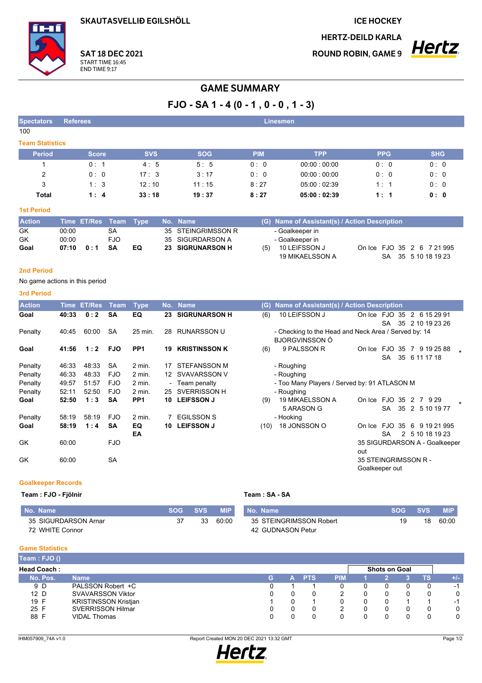SKAUTASVELLIÐ EGILSHÖLL

**ICE HOCKEY** 

**HERTZ-DEILD KARLA** 

**ROUND ROBIN, GAME 9** 



**SAT 18 DEC 2021** START TIME 16:45<br>END TIME 9:17

## **GAME SUMMARY**

# $FJO - SA 1 - 4 (0 - 1, 0 - 0, 1 - 3)$

| <b>Spectators</b>      | <b>Referees</b> |            |            | Linesmen   |             |            |            |
|------------------------|-----------------|------------|------------|------------|-------------|------------|------------|
| 100                    |                 |            |            |            |             |            |            |
| <b>Team Statistics</b> |                 |            |            |            |             |            |            |
| <b>Period</b>          | <b>Score</b>    | <b>SVS</b> | <b>SOG</b> | <b>PIM</b> | <b>TPP</b>  | <b>PPG</b> | <b>SHG</b> |
|                        | 0:1             | 4:5        | 5:5        | 0:0        | 00.00:00.00 | 0:0        | 0:0        |
| 2                      | 0:0             | 17:3       | 3:17       | 0:0        | 00.00:00.00 | 0:0        | 0:0        |
| 3                      | 1:3             | 12:10      | 11:15      | 8:27       | 05.00:02.39 | 1:1        | 0:0        |
| Total                  | 1:4             | 33:18      | 19:37      | 8:27       | 05:00:02:39 | 1:1        | 0:0        |

## **1st Period**

| <b>Action</b> |       | Time ET/Res Team Type |      |     | No. Name           |     | (G) Name of Assistant(s) / Action Description |  |  |                                                   |  |
|---------------|-------|-----------------------|------|-----|--------------------|-----|-----------------------------------------------|--|--|---------------------------------------------------|--|
| GK            | 00:00 |                       | SA   |     | 35 STEINGRIMSSON R |     | - Goalkeeper in                               |  |  |                                                   |  |
| GK            | 00:00 |                       | FJO  |     | 35 SIGURDARSON A   |     | - Goalkeeper in                               |  |  |                                                   |  |
| Goal          | 07:10 | 0:1                   | - SA | EQ. | 23 SIGRUNARSON H   | (5) | 10 LEIFSSON J<br>19 MIKAELSSON A              |  |  | On Ice FJO 35 2 6 7 21 995<br>SA 35 5 10 18 19 23 |  |

## 2nd Period

No game actions in this period

#### 3rd Period

| <b>Action</b> | <b>Time</b> | <b>ET/Res</b> | <b>Team</b> | <b>Type</b>     |    | No. Name             | (G)  | Name of Assistant(s) / Action Description                                     |                                        |                            |    |   |                                |  |
|---------------|-------------|---------------|-------------|-----------------|----|----------------------|------|-------------------------------------------------------------------------------|----------------------------------------|----------------------------|----|---|--------------------------------|--|
| Goal          | 40:33       | 0:2           | <b>SA</b>   | EQ              | 23 | <b>SIGRUNARSON H</b> | (6)  | 10 LEIFSSON J                                                                 | On Ice FJO 35                          | SA                         | 35 |   | 2 6 15 29 91<br>2 10 19 23 26  |  |
| Penalty       | 40:45       | 60:00         | <b>SA</b>   | 25 min.         | 28 | <b>RUNARSSON U</b>   |      | - Checking to the Head and Neck Area / Served by: 14<br><b>BJORGVINSSON Ó</b> |                                        |                            |    |   |                                |  |
| Goal          | 41:56       | 1:2           | <b>FJO</b>  | PP <sub>1</sub> | 19 | <b>KRISTINSSON K</b> | (6)  | 9 PALSSON R                                                                   | On Ice                                 | <b>FJO 35</b><br><b>SA</b> |    |   | 7 9 19 25 88<br>35 6 11 17 18  |  |
| Penalty       | 46:33       | 48:33         | <b>SA</b>   | $2$ min.        | 17 | <b>STEFANSSON M</b>  |      | - Roughing                                                                    |                                        |                            |    |   |                                |  |
| Penalty       | 46:33       | 48:33         | <b>FJO</b>  | 2 min.          |    | 12 SVAVARSSON V      |      | - Roughing                                                                    |                                        |                            |    |   |                                |  |
| Penalty       | 49.57       | 51:57         | <b>FJO</b>  | $2$ min.        |    | - Team penalty       |      | - Too Many Players / Served by: 91 ATLASON M                                  |                                        |                            |    |   |                                |  |
| Penalty       | 52:11       | 52:50         | FJO         | $2$ min.        | 25 | SVERRISSON H         |      | - Roughing                                                                    |                                        |                            |    |   |                                |  |
| Goal          | 52:50       | 1:3           | <b>SA</b>   | PP <sub>1</sub> | 10 | <b>LEIFSSON J</b>    | (9)  | 19 MIKAELSSON A<br>5 ARASON G                                                 | On Ice                                 | <b>FJO 35</b><br><b>SA</b> | 35 |   | 2 7 9 29<br>2 5 10 19 77       |  |
| Penalty       | 58:19       | 58:19         | <b>FJO</b>  | $2$ min.        |    | <b>EGILSSON S</b>    |      | - Hooking                                                                     |                                        |                            |    |   |                                |  |
| Goal          | 58:19       | 1:4           | <b>SA</b>   | EQ<br>EA        | 10 | <b>LEIFSSON J</b>    | (10) | 18 JONSSON O                                                                  | On Ice                                 | FJO<br><b>SA</b>           | 35 | 6 | 9 19 21 995<br>2 5 10 18 19 23 |  |
| GK            | 60:00       |               | <b>FJO</b>  |                 |    |                      |      |                                                                               | out                                    |                            |    |   | 35 SIGURDARSON A - Goalkeeper  |  |
| GK            | 60:00       |               | <b>SA</b>   |                 |    |                      |      |                                                                               | 35 STEINGRIMSSON R -<br>Goalkeeper out |                            |    |   |                                |  |

### **Goalkeeper Records**

## Team : FJO - Fjölnir

|  | Team: SA - SA |
|--|---------------|

| No. Name             | SOG | <b>SVS</b> | <b>MIP</b> | No. Name                | SOG | <b>SVS</b> | <b>MIP</b> |
|----------------------|-----|------------|------------|-------------------------|-----|------------|------------|
| 35 SIGURDARSON Arnar |     |            | 60:00      | 35 STEINGRIMSSON Robert | 19  | 18         | 60:00      |
| 72 WHITE Connor      |     |            |            | 42 GUDNASON Petur       |     |            |            |

### **Game Statistics**

| Team: FJO ()       |                             |   |    |            |            |                      |    |                          |
|--------------------|-----------------------------|---|----|------------|------------|----------------------|----|--------------------------|
| <b>Head Coach:</b> |                             |   |    |            |            | <b>Shots on Goal</b> |    |                          |
| No. Pos.           | <b>Name</b>                 | G | A. | <b>PTS</b> | <b>PIM</b> |                      | ΤS | $+/-$                    |
| 9 D                | PALSSON Robert +C           |   |    |            |            |                      |    | $\overline{\phantom{a}}$ |
| 12 <sub>D</sub>    | <b>SVAVARSSON Viktor</b>    |   |    |            | 2          |                      |    | 0                        |
| 19 F               | <b>KRISTINSSON Kristjan</b> |   | 0  |            |            |                      |    | $\overline{\phantom{a}}$ |
| 25 F               | <b>SVERRISSON Hilmar</b>    |   |    |            |            |                      |    |                          |
| 88 F               | <b>VIDAL Thomas</b>         |   |    |            |            |                      |    | 0                        |